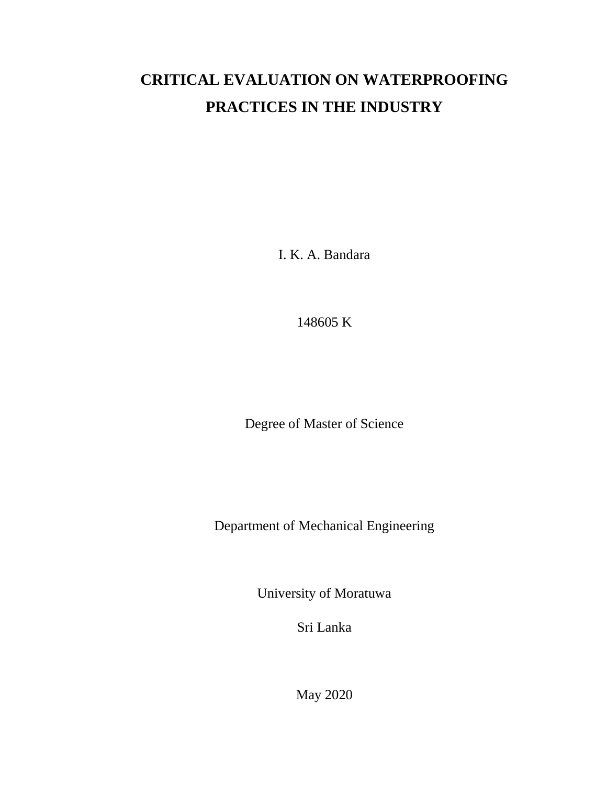# **CRITICAL EVALUATION ON WATERPROOFING PRACTICES IN THE INDUSTRY**

I. K. A. Bandara

148605 K

Degree of Master of Science

Department of Mechanical Engineering

University of Moratuwa

Sri Lanka

May 2020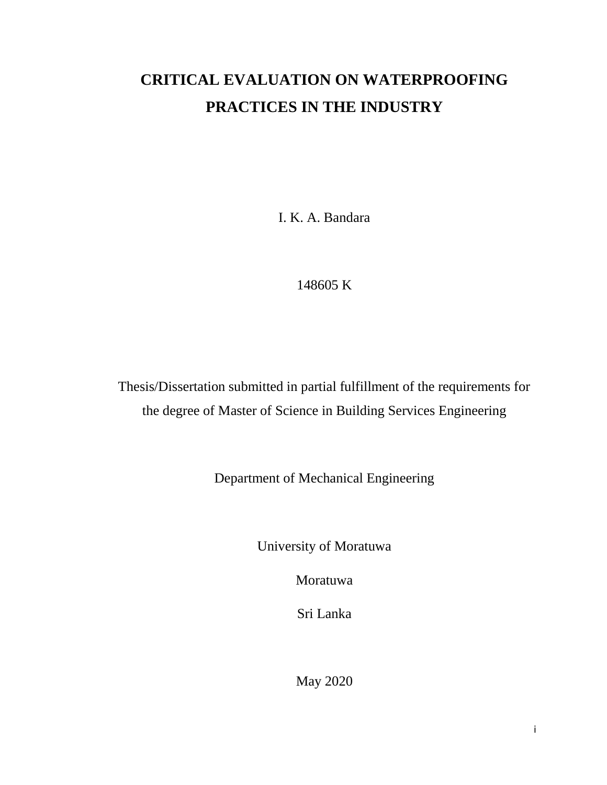## **CRITICAL EVALUATION ON WATERPROOFING PRACTICES IN THE INDUSTRY**

I. K. A. Bandara

148605 K

Thesis/Dissertation submitted in partial fulfillment of the requirements for the degree of Master of Science in Building Services Engineering

Department of Mechanical Engineering

University of Moratuwa

Moratuwa

Sri Lanka

May 2020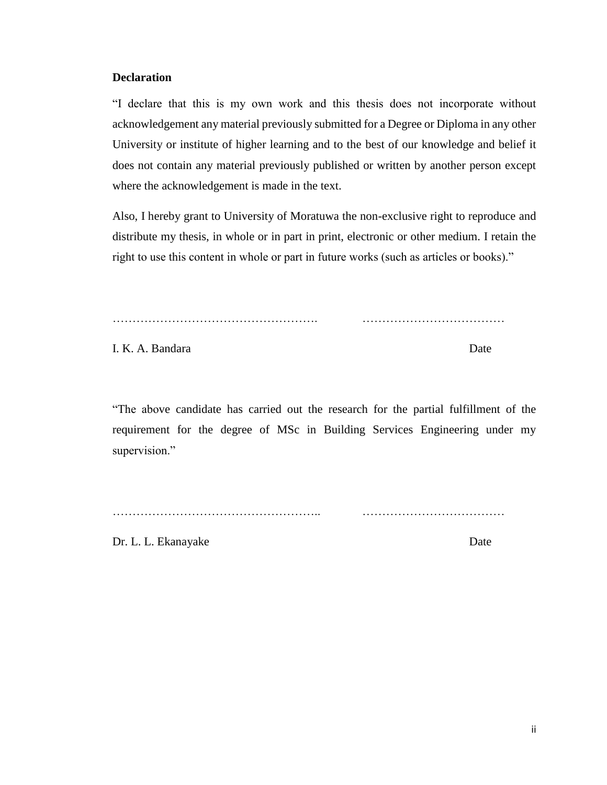#### <span id="page-2-0"></span>**Declaration**

"I declare that this is my own work and this thesis does not incorporate without acknowledgement any material previously submitted for a Degree or Diploma in any other University or institute of higher learning and to the best of our knowledge and belief it does not contain any material previously published or written by another person except where the acknowledgement is made in the text.

Also, I hereby grant to University of Moratuwa the non-exclusive right to reproduce and distribute my thesis, in whole or in part in print, electronic or other medium. I retain the right to use this content in whole or part in future works (such as articles or books)."

……………………………………………. ………………………………

I. K. A. Bandara Date

"The above candidate has carried out the research for the partial fulfillment of the requirement for the degree of MSc in Building Services Engineering under my supervision."

…………………………………………….. ………………………………

Dr. L. L. Ekanayake Date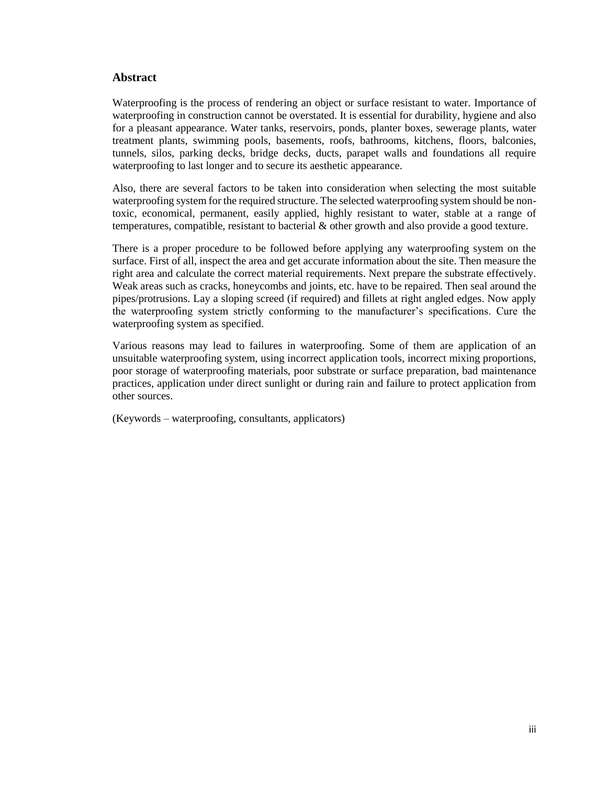#### <span id="page-3-0"></span>**Abstract**

Waterproofing is the process of rendering an object or surface resistant to water. Importance of waterproofing in construction cannot be overstated. It is essential for durability, hygiene and also for a pleasant appearance. Water tanks, reservoirs, ponds, planter boxes, sewerage plants, water treatment plants, swimming pools, basements, roofs, bathrooms, kitchens, floors, balconies, tunnels, silos, parking decks, bridge decks, ducts, parapet walls and foundations all require waterproofing to last longer and to secure its aesthetic appearance.

Also, there are several factors to be taken into consideration when selecting the most suitable waterproofing system for the required structure. The selected waterproofing system should be nontoxic, economical, permanent, easily applied, highly resistant to water, stable at a range of temperatures, compatible, resistant to bacterial & other growth and also provide a good texture.

There is a proper procedure to be followed before applying any waterproofing system on the surface. First of all, inspect the area and get accurate information about the site. Then measure the right area and calculate the correct material requirements. Next prepare the substrate effectively. Weak areas such as cracks, honeycombs and joints, etc. have to be repaired. Then seal around the pipes/protrusions. Lay a sloping screed (if required) and fillets at right angled edges. Now apply the waterproofing system strictly conforming to the manufacturer's specifications. Cure the waterproofing system as specified.

Various reasons may lead to failures in waterproofing. Some of them are application of an unsuitable waterproofing system, using incorrect application tools, incorrect mixing proportions, poor storage of waterproofing materials, poor substrate or surface preparation, bad maintenance practices, application under direct sunlight or during rain and failure to protect application from other sources.

(Keywords – waterproofing, consultants, applicators)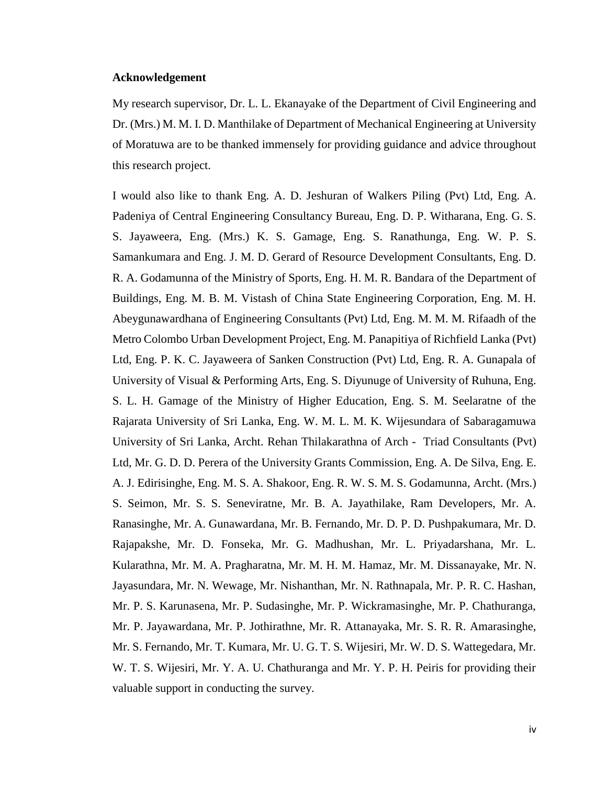#### <span id="page-4-0"></span>**Acknowledgement**

My research supervisor, Dr. L. L. Ekanayake of the Department of Civil Engineering and Dr. (Mrs.) M. M. I. D. Manthilake of Department of Mechanical Engineering at University of Moratuwa are to be thanked immensely for providing guidance and advice throughout this research project.

I would also like to thank Eng. A. D. Jeshuran of Walkers Piling (Pvt) Ltd, Eng. A. Padeniya of Central Engineering Consultancy Bureau, Eng. D. P. Witharana, Eng. G. S. S. Jayaweera, Eng. (Mrs.) K. S. Gamage, Eng. S. Ranathunga, Eng. W. P. S. Samankumara and Eng. J. M. D. Gerard of Resource Development Consultants, Eng. D. R. A. Godamunna of the Ministry of Sports, Eng. H. M. R. Bandara of the Department of Buildings, Eng. M. B. M. Vistash of China State Engineering Corporation, Eng. M. H. Abeygunawardhana of Engineering Consultants (Pvt) Ltd, Eng. M. M. M. Rifaadh of the Metro Colombo Urban Development Project, Eng. M. Panapitiya of Richfield Lanka (Pvt) Ltd, Eng. P. K. C. Jayaweera of Sanken Construction (Pvt) Ltd, Eng. R. A. Gunapala of University of Visual & Performing Arts, Eng. S. Diyunuge of University of Ruhuna, Eng. S. L. H. Gamage of the Ministry of Higher Education, Eng. S. M. Seelaratne of the Rajarata University of Sri Lanka, Eng. W. M. L. M. K. Wijesundara of Sabaragamuwa University of Sri Lanka, Archt. Rehan Thilakarathna of Arch - Triad Consultants (Pvt) Ltd, Mr. G. D. D. Perera of the University Grants Commission, Eng. A. De Silva, Eng. E. A. J. Edirisinghe, Eng. M. S. A. Shakoor, Eng. R. W. S. M. S. Godamunna, Archt. (Mrs.) S. Seimon, Mr. S. S. Seneviratne, Mr. B. A. Jayathilake, Ram Developers, Mr. A. Ranasinghe, Mr. A. Gunawardana, Mr. B. Fernando, Mr. D. P. D. Pushpakumara, Mr. D. Rajapakshe, Mr. D. Fonseka, Mr. G. Madhushan, Mr. L. Priyadarshana, Mr. L. Kularathna, Mr. M. A. Pragharatna, Mr. M. H. M. Hamaz, Mr. M. Dissanayake, Mr. N. Jayasundara, Mr. N. Wewage, Mr. Nishanthan, Mr. N. Rathnapala, Mr. P. R. C. Hashan, Mr. P. S. Karunasena, Mr. P. Sudasinghe, Mr. P. Wickramasinghe, Mr. P. Chathuranga, Mr. P. Jayawardana, Mr. P. Jothirathne, Mr. R. Attanayaka, Mr. S. R. R. Amarasinghe, Mr. S. Fernando, Mr. T. Kumara, Mr. U. G. T. S. Wijesiri, Mr. W. D. S. Wattegedara, Mr. W. T. S. Wijesiri, Mr. Y. A. U. Chathuranga and Mr. Y. P. H. Peiris for providing their valuable support in conducting the survey.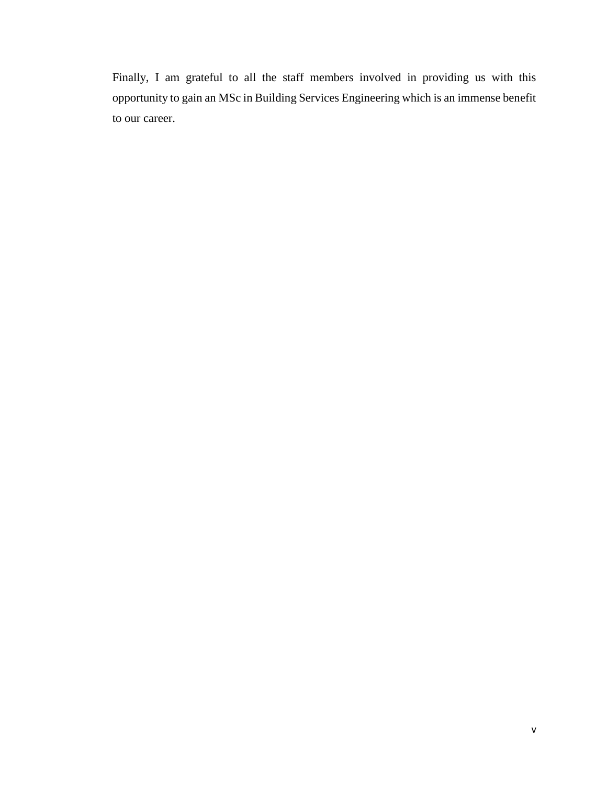Finally, I am grateful to all the staff members involved in providing us with this opportunity to gain an MSc in Building Services Engineering which is an immense benefit to our career.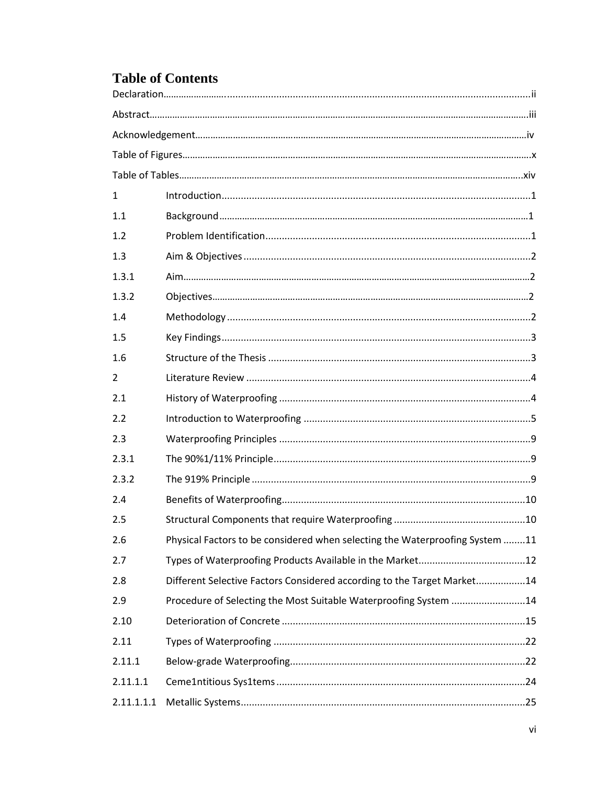## **Table of Contents**

| $\mathbf{1}$ |                                                                              |
|--------------|------------------------------------------------------------------------------|
| 1.1          |                                                                              |
| 1.2          |                                                                              |
| 1.3          |                                                                              |
| 1.3.1        |                                                                              |
| 1.3.2        |                                                                              |
| 1.4          |                                                                              |
| 1.5          |                                                                              |
| 1.6          |                                                                              |
| 2            |                                                                              |
| 2.1          |                                                                              |
| 2.2          |                                                                              |
| 2.3          |                                                                              |
| 2.3.1        |                                                                              |
| 2.3.2        |                                                                              |
| 2.4          |                                                                              |
| 2.5          |                                                                              |
| 2.6          | Physical Factors to be considered when selecting the Waterproofing System 11 |
| 2.7          |                                                                              |
| 2.8          | Different Selective Factors Considered according to the Target Market14      |
| 2.9          | Procedure of Selecting the Most Suitable Waterproofing System 14             |
| 2.10         |                                                                              |
| 2.11         |                                                                              |
| 2.11.1       |                                                                              |
| 2.11.1.1     |                                                                              |
| 2.11.1.1.1   |                                                                              |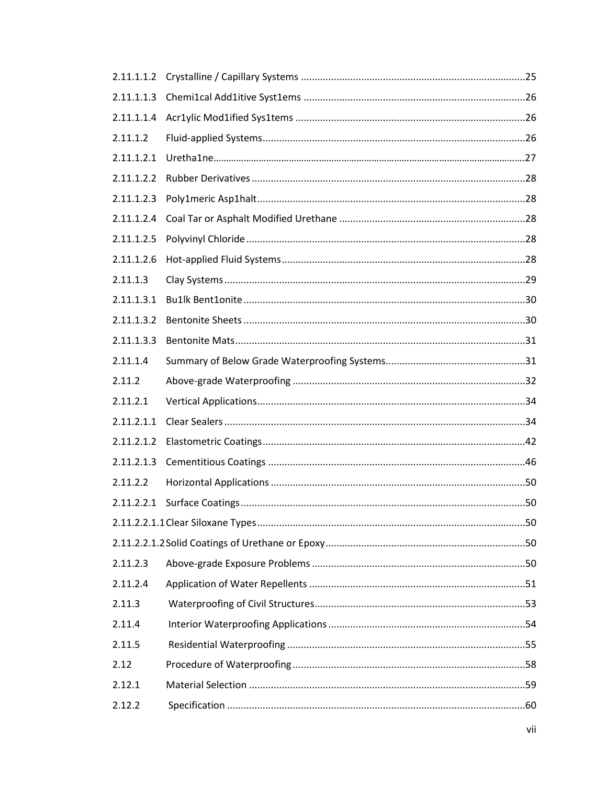| 2.11.1.1.2 |  |
|------------|--|
| 2.11.1.1.3 |  |
| 2.11.1.1.4 |  |
| 2.11.1.2   |  |
| 2.11.1.2.1 |  |
| 2.11.1.2.2 |  |
| 2.11.1.2.3 |  |
| 2.11.1.2.4 |  |
| 2.11.1.2.5 |  |
| 2.11.1.2.6 |  |
| 2.11.1.3   |  |
| 2.11.1.3.1 |  |
| 2.11.1.3.2 |  |
| 2.11.1.3.3 |  |
| 2.11.1.4   |  |
| 2.11.2     |  |
| 2.11.2.1   |  |
| 2.11.2.1.1 |  |
| 2.11.2.1.2 |  |
| 2.11.2.1.3 |  |
| 2.11.2.2   |  |
|            |  |
|            |  |
|            |  |
| 2.11.2.3   |  |
| 2.11.2.4   |  |
| 2.11.3     |  |
| 2.11.4     |  |
| 2.11.5     |  |
| 2.12       |  |
| 2.12.1     |  |
| 2.12.2     |  |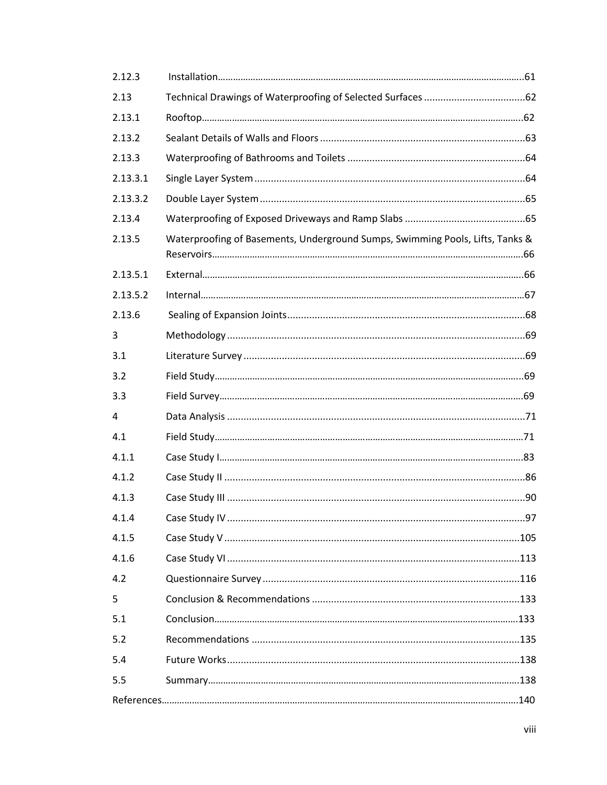| 2.12.3   |                                                                               |  |
|----------|-------------------------------------------------------------------------------|--|
| 2.13     |                                                                               |  |
| 2.13.1   |                                                                               |  |
| 2.13.2   |                                                                               |  |
| 2.13.3   |                                                                               |  |
| 2.13.3.1 |                                                                               |  |
| 2.13.3.2 |                                                                               |  |
| 2.13.4   |                                                                               |  |
| 2.13.5   | Waterproofing of Basements, Underground Sumps, Swimming Pools, Lifts, Tanks & |  |
| 2.13.5.1 |                                                                               |  |
| 2.13.5.2 |                                                                               |  |
| 2.13.6   |                                                                               |  |
| 3        |                                                                               |  |
| 3.1      |                                                                               |  |
| 3.2      |                                                                               |  |
| 3.3      |                                                                               |  |
| 4        |                                                                               |  |
| 4.1      |                                                                               |  |
| 4.1.1    |                                                                               |  |
| 4.1.2    |                                                                               |  |
| 4.1.3    |                                                                               |  |
| 4.1.4    |                                                                               |  |
| 4.1.5    |                                                                               |  |
| 4.1.6    |                                                                               |  |
| 4.2      |                                                                               |  |
| 5        |                                                                               |  |
| 5.1      |                                                                               |  |
| 5.2      |                                                                               |  |
| 5.4      |                                                                               |  |
| 5.5      |                                                                               |  |
|          |                                                                               |  |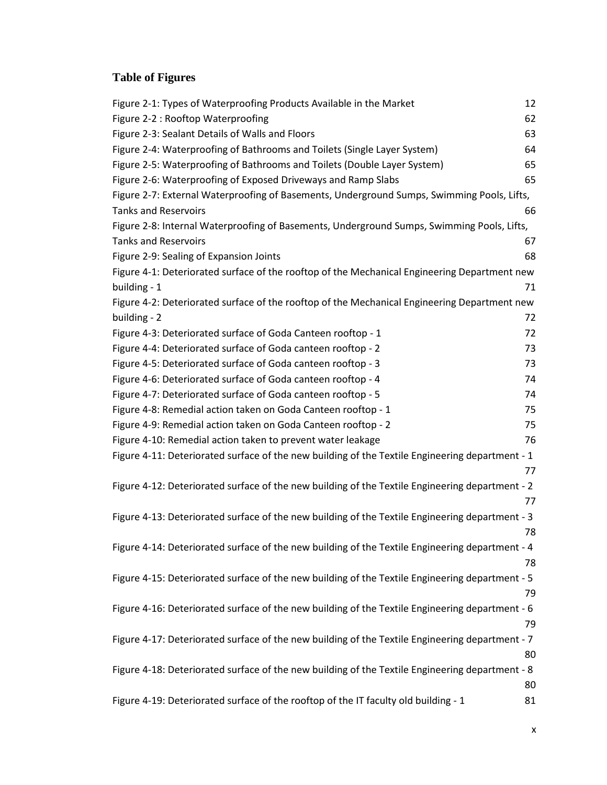### <span id="page-10-0"></span>**Table of Figures**

| Figure 2-1: Types of Waterproofing Products Available in the Market                             | 12 |
|-------------------------------------------------------------------------------------------------|----|
| Figure 2-2 : Rooftop Waterproofing                                                              | 62 |
| Figure 2-3: Sealant Details of Walls and Floors                                                 | 63 |
| Figure 2-4: Waterproofing of Bathrooms and Toilets (Single Layer System)                        | 64 |
| Figure 2-5: Waterproofing of Bathrooms and Toilets (Double Layer System)                        | 65 |
| Figure 2-6: Waterproofing of Exposed Driveways and Ramp Slabs                                   | 65 |
| Figure 2-7: External Waterproofing of Basements, Underground Sumps, Swimming Pools, Lifts,      |    |
| <b>Tanks and Reservoirs</b>                                                                     | 66 |
| Figure 2-8: Internal Waterproofing of Basements, Underground Sumps, Swimming Pools, Lifts,      |    |
| <b>Tanks and Reservoirs</b>                                                                     | 67 |
| Figure 2-9: Sealing of Expansion Joints                                                         | 68 |
| Figure 4-1: Deteriorated surface of the rooftop of the Mechanical Engineering Department new    |    |
| building - 1                                                                                    | 71 |
| Figure 4-2: Deteriorated surface of the rooftop of the Mechanical Engineering Department new    |    |
| building - 2                                                                                    | 72 |
| Figure 4-3: Deteriorated surface of Goda Canteen rooftop - 1                                    | 72 |
| Figure 4-4: Deteriorated surface of Goda canteen rooftop - 2                                    | 73 |
| Figure 4-5: Deteriorated surface of Goda canteen rooftop - 3                                    | 73 |
| Figure 4-6: Deteriorated surface of Goda canteen rooftop - 4                                    | 74 |
| Figure 4-7: Deteriorated surface of Goda canteen rooftop - 5                                    | 74 |
| Figure 4-8: Remedial action taken on Goda Canteen rooftop - 1                                   | 75 |
| Figure 4-9: Remedial action taken on Goda Canteen rooftop - 2                                   | 75 |
| Figure 4-10: Remedial action taken to prevent water leakage                                     | 76 |
| Figure 4-11: Deteriorated surface of the new building of the Textile Engineering department - 1 |    |
|                                                                                                 | 77 |
| Figure 4-12: Deteriorated surface of the new building of the Textile Engineering department - 2 |    |
|                                                                                                 | 77 |
| Figure 4-13: Deteriorated surface of the new building of the Textile Engineering department - 3 |    |
|                                                                                                 | 78 |
| Figure 4-14: Deteriorated surface of the new building of the Textile Engineering department - 4 |    |
|                                                                                                 | 78 |
| Figure 4-15: Deteriorated surface of the new building of the Textile Engineering department - 5 |    |
|                                                                                                 | 79 |
| Figure 4-16: Deteriorated surface of the new building of the Textile Engineering department - 6 |    |
|                                                                                                 | 79 |
| Figure 4-17: Deteriorated surface of the new building of the Textile Engineering department - 7 |    |
|                                                                                                 | 80 |
| Figure 4-18: Deteriorated surface of the new building of the Textile Engineering department - 8 |    |
|                                                                                                 | 80 |
| Figure 4-19: Deteriorated surface of the rooftop of the IT faculty old building - 1             | 81 |
|                                                                                                 |    |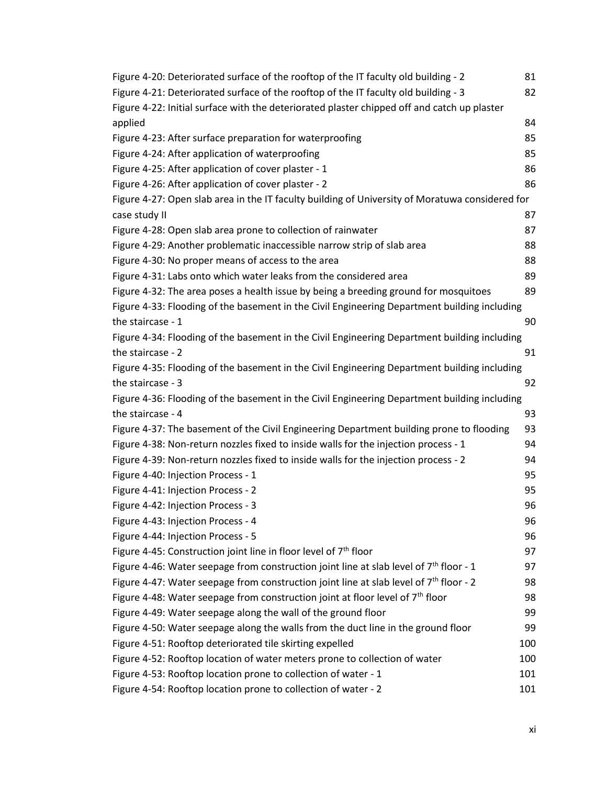| Figure 4-20: Deteriorated surface of the rooftop of the IT faculty old building - 2             | 81  |
|-------------------------------------------------------------------------------------------------|-----|
| Figure 4-21: Deteriorated surface of the rooftop of the IT faculty old building - 3             | 82  |
| Figure 4-22: Initial surface with the deteriorated plaster chipped off and catch up plaster     |     |
| applied                                                                                         | 84  |
| Figure 4-23: After surface preparation for waterproofing                                        | 85  |
| Figure 4-24: After application of waterproofing                                                 | 85  |
| Figure 4-25: After application of cover plaster - 1                                             | 86  |
| Figure 4-26: After application of cover plaster - 2                                             | 86  |
| Figure 4-27: Open slab area in the IT faculty building of University of Moratuwa considered for |     |
| case study II                                                                                   | 87  |
| Figure 4-28: Open slab area prone to collection of rainwater                                    | 87  |
| Figure 4-29: Another problematic inaccessible narrow strip of slab area                         | 88  |
| Figure 4-30: No proper means of access to the area                                              | 88  |
| Figure 4-31: Labs onto which water leaks from the considered area                               | 89  |
| Figure 4-32: The area poses a health issue by being a breeding ground for mosquitoes            | 89  |
| Figure 4-33: Flooding of the basement in the Civil Engineering Department building including    |     |
| the staircase - 1                                                                               | 90  |
| Figure 4-34: Flooding of the basement in the Civil Engineering Department building including    |     |
| the staircase - 2                                                                               | 91  |
| Figure 4-35: Flooding of the basement in the Civil Engineering Department building including    |     |
| the staircase - 3                                                                               | 92  |
| Figure 4-36: Flooding of the basement in the Civil Engineering Department building including    |     |
| the staircase - 4                                                                               | 93  |
| Figure 4-37: The basement of the Civil Engineering Department building prone to flooding        | 93  |
| Figure 4-38: Non-return nozzles fixed to inside walls for the injection process - 1             | 94  |
| Figure 4-39: Non-return nozzles fixed to inside walls for the injection process - 2             | 94  |
| Figure 4-40: Injection Process - 1                                                              | 95  |
| Figure 4-41: Injection Process - 2                                                              | 95  |
| Figure 4-42: Injection Process - 3                                                              | 96  |
| Figure 4-43: Injection Process - 4                                                              | 96  |
| Figure 4-44: Injection Process - 5                                                              | 96  |
| Figure 4-45: Construction joint line in floor level of $7th$ floor                              | 97  |
| Figure 4-46: Water seepage from construction joint line at slab level of $7th$ floor - 1        | 97  |
| Figure 4-47: Water seepage from construction joint line at slab level of $7th$ floor - 2        | 98  |
| Figure 4-48: Water seepage from construction joint at floor level of 7 <sup>th</sup> floor      | 98  |
| Figure 4-49: Water seepage along the wall of the ground floor                                   | 99  |
| Figure 4-50: Water seepage along the walls from the duct line in the ground floor               | 99  |
| Figure 4-51: Rooftop deteriorated tile skirting expelled                                        | 100 |
| Figure 4-52: Rooftop location of water meters prone to collection of water                      | 100 |
| Figure 4-53: Rooftop location prone to collection of water - 1                                  | 101 |
| Figure 4-54: Rooftop location prone to collection of water - 2                                  | 101 |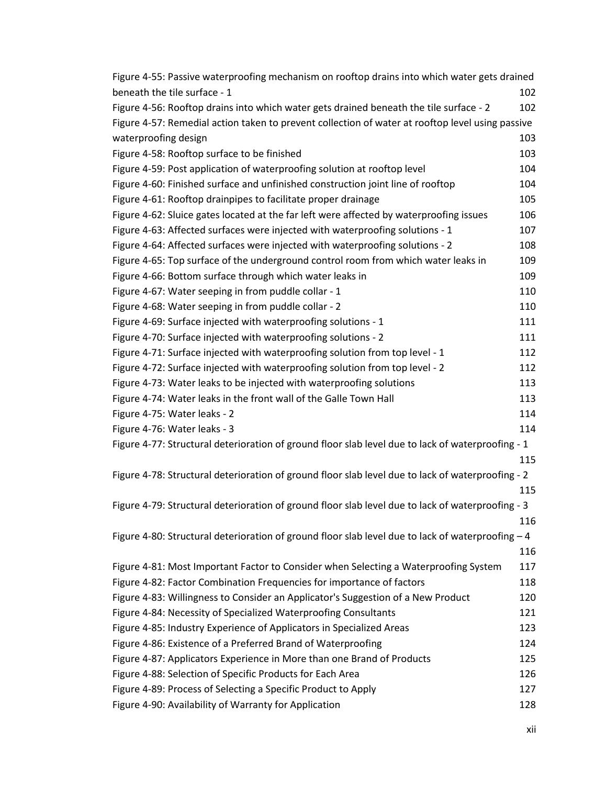| Figure 4-55: Passive waterproofing mechanism on rooftop drains into which water gets drained       |     |
|----------------------------------------------------------------------------------------------------|-----|
| beneath the tile surface - 1                                                                       | 102 |
| Figure 4-56: Rooftop drains into which water gets drained beneath the tile surface - 2             | 102 |
| Figure 4-57: Remedial action taken to prevent collection of water at rooftop level using passive   |     |
| waterproofing design                                                                               | 103 |
| Figure 4-58: Rooftop surface to be finished                                                        | 103 |
| Figure 4-59: Post application of waterproofing solution at rooftop level                           | 104 |
| Figure 4-60: Finished surface and unfinished construction joint line of rooftop                    | 104 |
| Figure 4-61: Rooftop drainpipes to facilitate proper drainage                                      | 105 |
| Figure 4-62: Sluice gates located at the far left were affected by waterproofing issues            | 106 |
| Figure 4-63: Affected surfaces were injected with waterproofing solutions - 1                      | 107 |
| Figure 4-64: Affected surfaces were injected with waterproofing solutions - 2                      | 108 |
| Figure 4-65: Top surface of the underground control room from which water leaks in                 | 109 |
| Figure 4-66: Bottom surface through which water leaks in                                           | 109 |
| Figure 4-67: Water seeping in from puddle collar - 1                                               | 110 |
| Figure 4-68: Water seeping in from puddle collar - 2                                               | 110 |
| Figure 4-69: Surface injected with waterproofing solutions - 1                                     | 111 |
| Figure 4-70: Surface injected with waterproofing solutions - 2                                     | 111 |
| Figure 4-71: Surface injected with waterproofing solution from top level - 1                       | 112 |
| Figure 4-72: Surface injected with waterproofing solution from top level - 2                       | 112 |
| Figure 4-73: Water leaks to be injected with waterproofing solutions                               | 113 |
| Figure 4-74: Water leaks in the front wall of the Galle Town Hall                                  | 113 |
| Figure 4-75: Water leaks - 2                                                                       | 114 |
| Figure 4-76: Water leaks - 3                                                                       | 114 |
| Figure 4-77: Structural deterioration of ground floor slab level due to lack of waterproofing - 1  |     |
|                                                                                                    | 115 |
| Figure 4-78: Structural deterioration of ground floor slab level due to lack of waterproofing - 2  |     |
|                                                                                                    | 115 |
| Figure 4-79: Structural deterioration of ground floor slab level due to lack of waterproofing - 3  |     |
|                                                                                                    | 116 |
| Figure 4-80: Structural deterioration of ground floor slab level due to lack of waterproofing $-4$ |     |
|                                                                                                    | 116 |
| Figure 4-81: Most Important Factor to Consider when Selecting a Waterproofing System               | 117 |
| Figure 4-82: Factor Combination Frequencies for importance of factors                              | 118 |
| Figure 4-83: Willingness to Consider an Applicator's Suggestion of a New Product                   | 120 |
| Figure 4-84: Necessity of Specialized Waterproofing Consultants                                    | 121 |
| Figure 4-85: Industry Experience of Applicators in Specialized Areas                               | 123 |
| Figure 4-86: Existence of a Preferred Brand of Waterproofing                                       | 124 |
| Figure 4-87: Applicators Experience in More than one Brand of Products                             | 125 |
| Figure 4-88: Selection of Specific Products for Each Area                                          | 126 |
| Figure 4-89: Process of Selecting a Specific Product to Apply                                      | 127 |
| Figure 4-90: Availability of Warranty for Application                                              | 128 |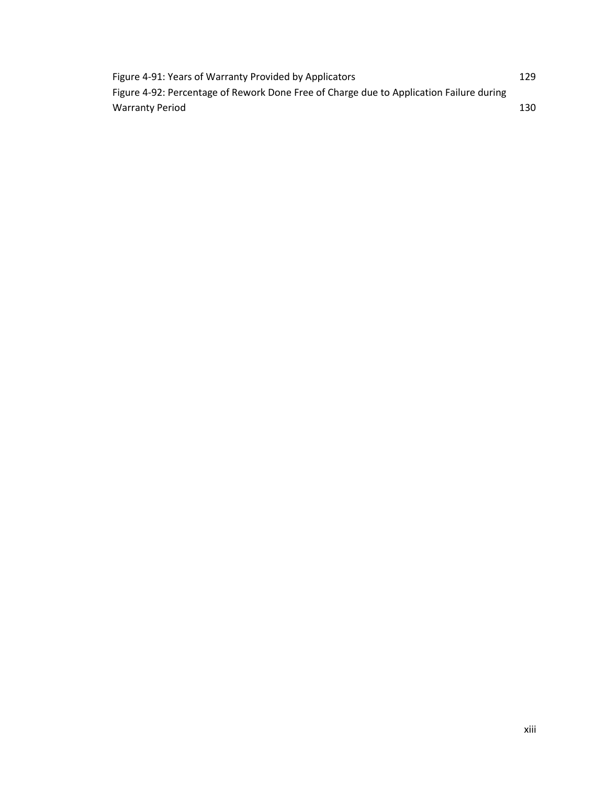| Figure 4-91: Years of Warranty Provided by Applicators                                  | 129 |
|-----------------------------------------------------------------------------------------|-----|
| Figure 4-92: Percentage of Rework Done Free of Charge due to Application Failure during |     |
| <b>Warranty Period</b>                                                                  | 130 |